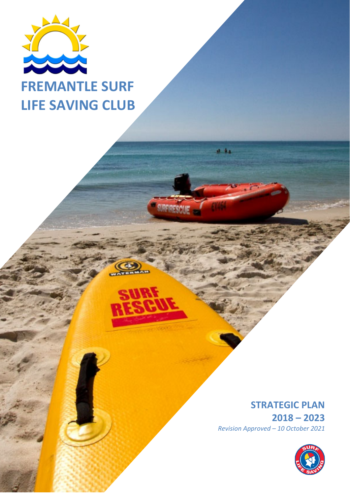

# **FREMANTLE SURF LIFE SAVING CLUB**

# **STRATEGIC PLAN**

**2018 – 2023** *Revision Approved – 10 October 2021*

 $4 - 84$ 

**SYPE PESC** 

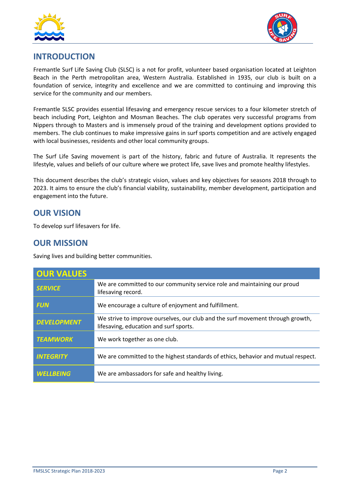



# **INTRODUCTION**

Fremantle Surf Life Saving Club (SLSC) is a not for profit, volunteer based organisation located at Leighton Beach in the Perth metropolitan area, Western Australia. Established in 1935, our club is built on a foundation of service, integrity and excellence and we are committed to continuing and improving this service for the community and our members.

Fremantle SLSC provides essential lifesaving and emergency rescue services to a four kilometer stretch of beach including Port, Leighton and Mosman Beaches. The club operates very successful programs from Nippers through to Masters and is immensely proud of the training and development options provided to members. The club continues to make impressive gains in surf sports competition and are actively engaged with local businesses, residents and other local community groups.

The Surf Life Saving movement is part of the history, fabric and future of Australia. It represents the lifestyle, values and beliefs of our culture where we protect life, save lives and promote healthy lifestyles.

This document describes the club's strategic vision, values and key objectives for seasons 2018 through to 2023. It aims to ensure the club's financial viability, sustainability, member development, participation and engagement into the future.

### **OUR VISION**

To develop surf lifesavers for life.

## **OUR MISSION**

Saving lives and building better communities.

| <b>OUR VALUES</b>  |                                                                                                                          |
|--------------------|--------------------------------------------------------------------------------------------------------------------------|
| <b>SERVICE</b>     | We are committed to our community service role and maintaining our proud<br>lifesaving record.                           |
| <b>FUN</b>         | We encourage a culture of enjoyment and fulfillment.                                                                     |
| <b>DEVELOPMENT</b> | We strive to improve ourselves, our club and the surf movement through growth,<br>lifesaving, education and surf sports. |
| <b>TEAMWORK</b>    | We work together as one club.                                                                                            |
| <b>INTEGRITY</b>   | We are committed to the highest standards of ethics, behavior and mutual respect.                                        |
| <b>WELLBEING</b>   | We are ambassadors for safe and healthy living.                                                                          |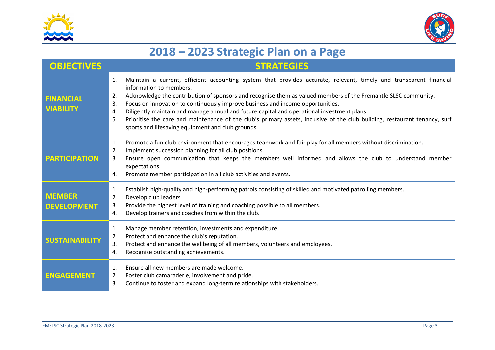



# **2018 – 2023 Strategic Plan on <sup>a</sup> Page**

| <b>OBJECTIVES</b>                    | <b>STRATEGIES</b>                                                                                                                                                                                                                                                                                                                                                                                                                                                                                                                                                                                                                                                |
|--------------------------------------|------------------------------------------------------------------------------------------------------------------------------------------------------------------------------------------------------------------------------------------------------------------------------------------------------------------------------------------------------------------------------------------------------------------------------------------------------------------------------------------------------------------------------------------------------------------------------------------------------------------------------------------------------------------|
| <b>FINANCIAL</b><br><b>VIABILITY</b> | Maintain a current, efficient accounting system that provides accurate, relevant, timely and transparent financial<br>1.<br>information to members.<br>Acknowledge the contribution of sponsors and recognise them as valued members of the Fremantle SLSC community.<br>2.<br>Focus on innovation to continuously improve business and income opportunities.<br>3.<br>Diligently maintain and manage annual and future capital and operational investment plans.<br>4.<br>Prioritise the care and maintenance of the club's primary assets, inclusive of the club building, restaurant tenancy, surf<br>5.<br>sports and lifesaving equipment and club grounds. |
| <b>PARTICIPATION</b>                 | Promote a fun club environment that encourages teamwork and fair play for all members without discrimination.<br>1.<br>Implement succession planning for all club positions.<br>2.<br>Ensure open communication that keeps the members well informed and allows the club to understand member<br>3.<br>expectations.<br>Promote member participation in all club activities and events.<br>4.                                                                                                                                                                                                                                                                    |
| <b>MEMBER</b><br><b>DEVELOPMENT</b>  | Establish high-quality and high-performing patrols consisting of skilled and motivated patrolling members.<br>1.<br>Develop club leaders.<br>2.<br>Provide the highest level of training and coaching possible to all members.<br>3.<br>Develop trainers and coaches from within the club.<br>4.                                                                                                                                                                                                                                                                                                                                                                 |
| <b>SUSTAINABILITY</b>                | Manage member retention, investments and expenditure.<br>1.<br>Protect and enhance the club's reputation.<br>2.<br>Protect and enhance the wellbeing of all members, volunteers and employees.<br>3.<br>Recognise outstanding achievements.<br>4.                                                                                                                                                                                                                                                                                                                                                                                                                |
| <b>ENGAGEMENT</b>                    | Ensure all new members are made welcome.<br>1.<br>Foster club camaraderie, involvement and pride.<br>2.<br>Continue to foster and expand long-term relationships with stakeholders.<br>3.                                                                                                                                                                                                                                                                                                                                                                                                                                                                        |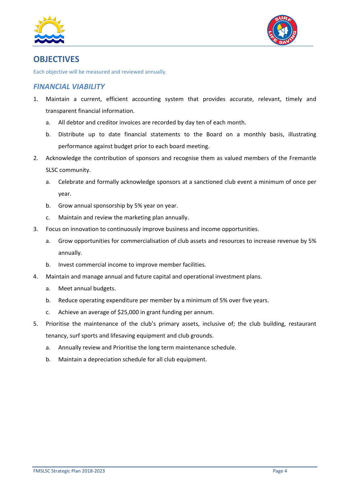



# **OBJECTIVES**

Each objective will be measured and reviewed annually.

#### *FINANCIAL VIABILITY*

- 1. Maintain a current, efficient accounting system that provides accurate, relevant, timely and transparent financial information.
	- a. All debtor and creditor invoices are recorded by day ten of each month.
	- b. Distribute up to date financial statements to the Board on a monthly basis, illustrating performance against budget prior to each board meeting.
- 2. Acknowledge the contribution of sponsors and recognise them as valued members of the Fremantle SLSC community.
	- a. Celebrate and formally acknowledge sponsors at a sanctioned club event a minimum of once per year.
	- b. Grow annual sponsorship by 5% year on year.
	- c. Maintain and review the marketing plan annually.
- 3. Focus on innovation to continuously improve business and income opportunities.
	- a. Grow opportunities for commercialisation of club assets and resources to increase revenue by 5% annually.
	- b. Invest commercial income to improve member facilities.
- 4. Maintain and manage annual and future capital and operational investment plans.
	- a. Meet annual budgets.
	- b. Reduce operating expenditure per member by a minimum of 5% over five years.
	- c. Achieve an average of \$25,000 in grant funding per annum.
- 5. Prioritise the maintenance of the club's primary assets, inclusive of; the club building, restaurant tenancy, surf sports and lifesaving equipment and club grounds.
	- a. Annually review and Prioritise the long term maintenance schedule.
	- b. Maintain a depreciation schedule for all club equipment.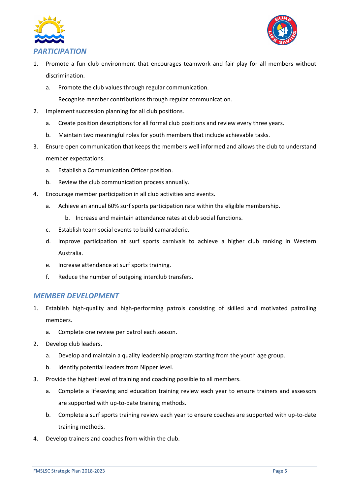



#### *PARTICIPATION*

- 1. Promote a fun club environment that encourages teamwork and fair play for all members without discrimination.
	- a. Promote the club values through regular communication.
		- Recognise member contributions through regular communication.
- 2. Implement succession planning for all club positions.
	- a. Create position descriptions for all formal club positions and review every three years.
	- b. Maintain two meaningful roles for youth members that include achievable tasks.
- 3. Ensure open communication that keeps the members well informed and allows the club to understand member expectations.
	- a. Establish a Communication Officer position.
	- b. Review the club communication process annually.
- 4. Encourage member participation in all club activities and events.
	- a. Achieve an annual 60% surf sports participation rate within the eligible membership.
		- b. Increase and maintain attendance rates at club social functions.
	- c. Establish team social events to build camaraderie.
	- d. Improve participation at surf sports carnivals to achieve a higher club ranking in Western Australia.
	- e. Increase attendance at surf sports training.
	- f. Reduce the number of outgoing interclub transfers.

#### *MEMBER DEVELOPMENT*

- 1. Establish high‐quality and high‐performing patrols consisting of skilled and motivated patrolling members.
	- a. Complete one review per patrol each season.
- 2. Develop club leaders.
	- a. Develop and maintain a quality leadership program starting from the youth age group.
	- b. Identify potential leaders from Nipper level.
- 3. Provide the highest level of training and coaching possible to all members.
	- a. Complete a lifesaving and education training review each year to ensure trainers and assessors are supported with up-to-date training methods.
	- b. Complete a surf sports training review each year to ensure coaches are supported with up-to-date training methods.
- 4. Develop trainers and coaches from within the club.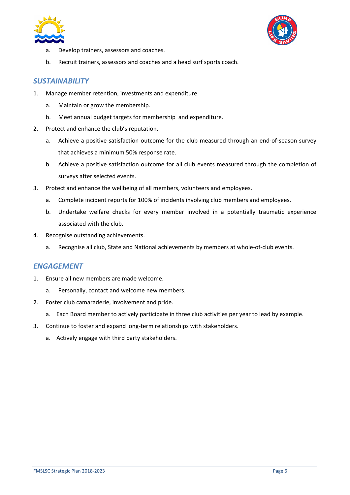



- a. Develop trainers, assessors and coaches.
- b. Recruit trainers, assessors and coaches and a head surf sports coach.

#### *SUSTAINABILITY*

- 1. Manage member retention, investments and expenditure.
	- a. Maintain or grow the membership.
	- b. Meet annual budget targets for membership and expenditure.
- 2. Protect and enhance the club's reputation.
	- a. Achieve a positive satisfaction outcome for the club measured through an end-of-season survey that achieves a minimum 50% response rate.
	- b. Achieve a positive satisfaction outcome for all club events measured through the completion of surveys after selected events.
- 3. Protect and enhance the wellbeing of all members, volunteers and employees.
	- a. Complete incident reports for 100% of incidents involving club members and employees.
	- b. Undertake welfare checks for every member involved in a potentially traumatic experience associated with the club.
- 4. Recognise outstanding achievements.
	- a. Recognise all club, State and National achievements by members at whole‐of‐club events.

#### *ENGAGEMENT*

- 1. Ensure all new members are made welcome.
	- a. Personally, contact and welcome new members.
- 2. Foster club camaraderie, involvement and pride.
	- a. Each Board member to actively participate in three club activities per year to lead by example.
- 3. Continue to foster and expand long‐term relationships with stakeholders.
	- a. Actively engage with third party stakeholders.